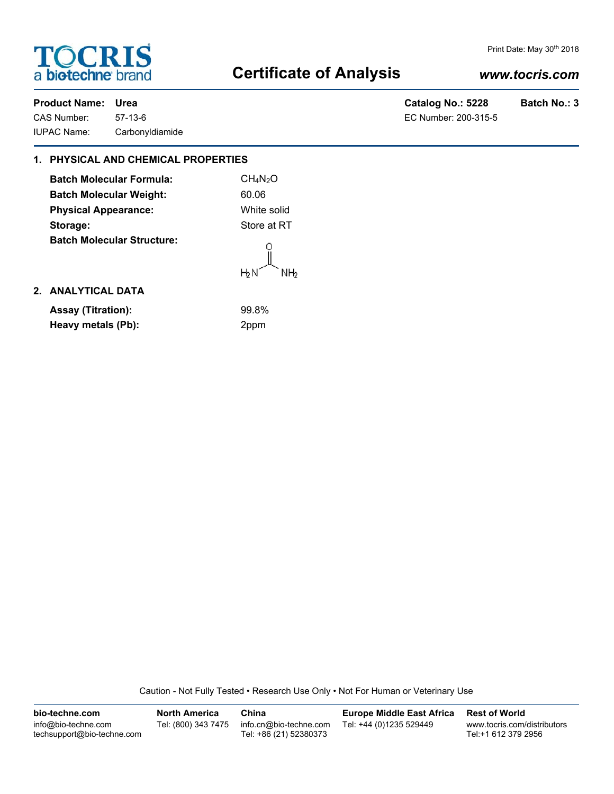# **TOCRIS** a biotechne brand

# **Certificate of Analysis**

# Print Date: May 30<sup>th</sup> 2018

## *www.tocris.com*

### **Product Name: Urea Catalog No.: 5228 Batch No.: 3**

CAS Number: 57-13-6 EC Number: 200-315-5 IUPAC Name: Carbonyldiamide

## **1. PHYSICAL AND CHEMICAL PROPERTIES**

| <b>Batch Molecular Formula:</b>   | $CH_4N_2O$  |
|-----------------------------------|-------------|
| <b>Batch Molecular Weight:</b>    | 60.06       |
| <b>Physical Appearance:</b>       | White solid |
| Storage:                          | Store at RT |
| <b>Batch Molecular Structure:</b> |             |

 $H_2N$ NH<sub>2</sub>

### **2. ANALYTICAL DATA**

| Assay (Titration): |  |
|--------------------|--|
| Heavy metals (Pb): |  |

**Assay (Titration):** 99.8% **Heavy metals (Pb):** 2ppm

Caution - Not Fully Tested • Research Use Only • Not For Human or Veterinary Use

**bio-techne.com** info@bio-techne.com techsupport@bio-techne.com **North America** Tel: (800) 343 7475 **China** info.cn@bio-techne.com Tel: +86 (21) 52380373 **Europe Middle East Africa** Tel: +44 (0)1235 529449 **Rest of World** www.tocris.com/distributors Tel:+1 612 379 2956